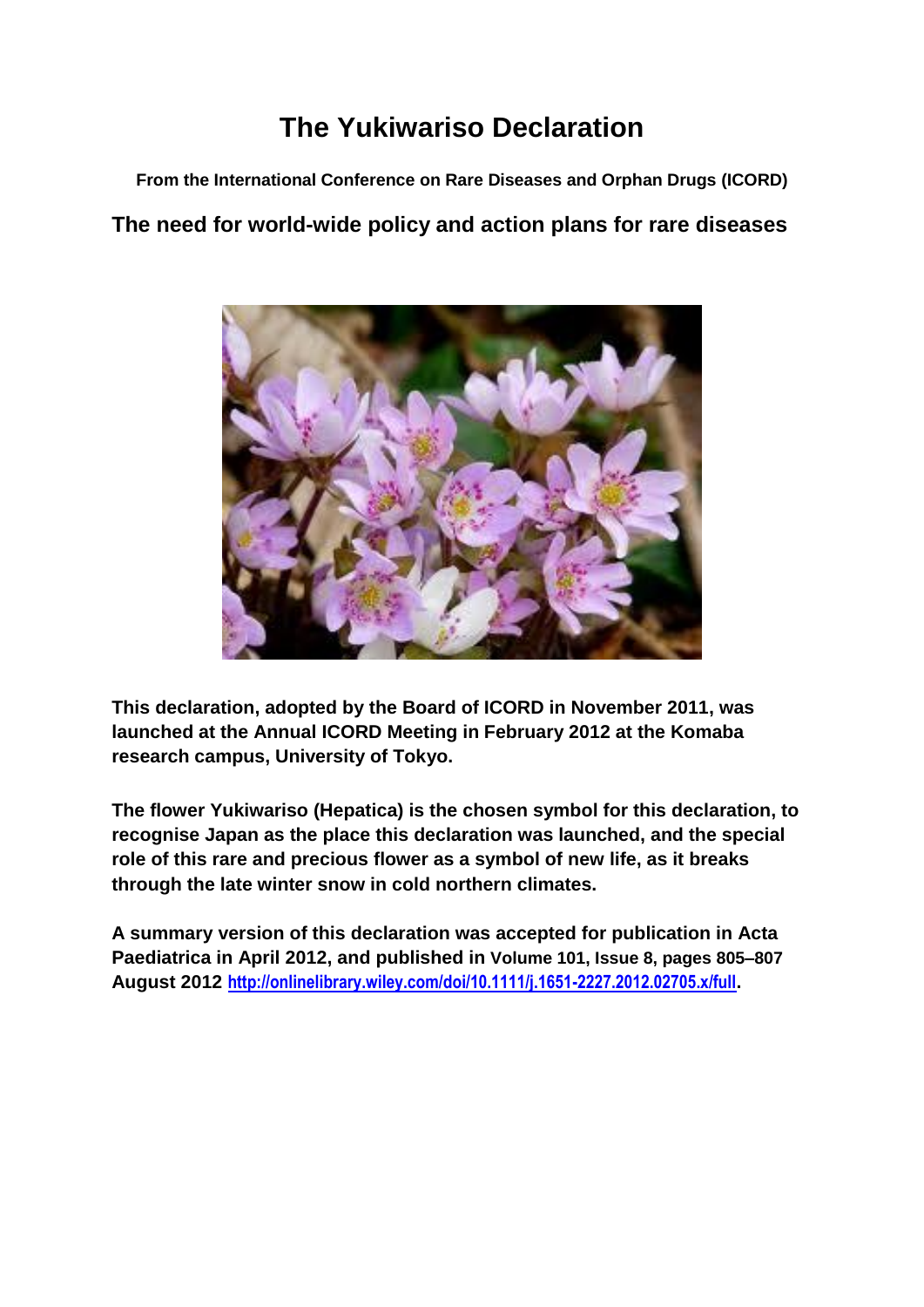# **The Yukiwariso Declaration**

**From the International Conference on Rare Diseases and Orphan Drugs (ICORD)**

# **The need for world-wide policy and action plans for rare diseases**



**This declaration, adopted by the Board of ICORD in November 2011, was launched at the Annual ICORD Meeting in February 2012 at the Komaba research campus, University of Tokyo.**

**The flower Yukiwariso (Hepatica) is the chosen symbol for this declaration, to recognise Japan as the place this declaration was launched, and the special role of this rare and precious flower as a symbol of new life, as it breaks through the late winter snow in cold northern climates.**

**A summary version of this declaration was accepted for publication in Acta Paediatrica in April 2012, and published in Volume 101, Issue 8, pages 805–807 August 2012 <http://onlinelibrary.wiley.com/doi/10.1111/j.1651-2227.2012.02705.x/full>.**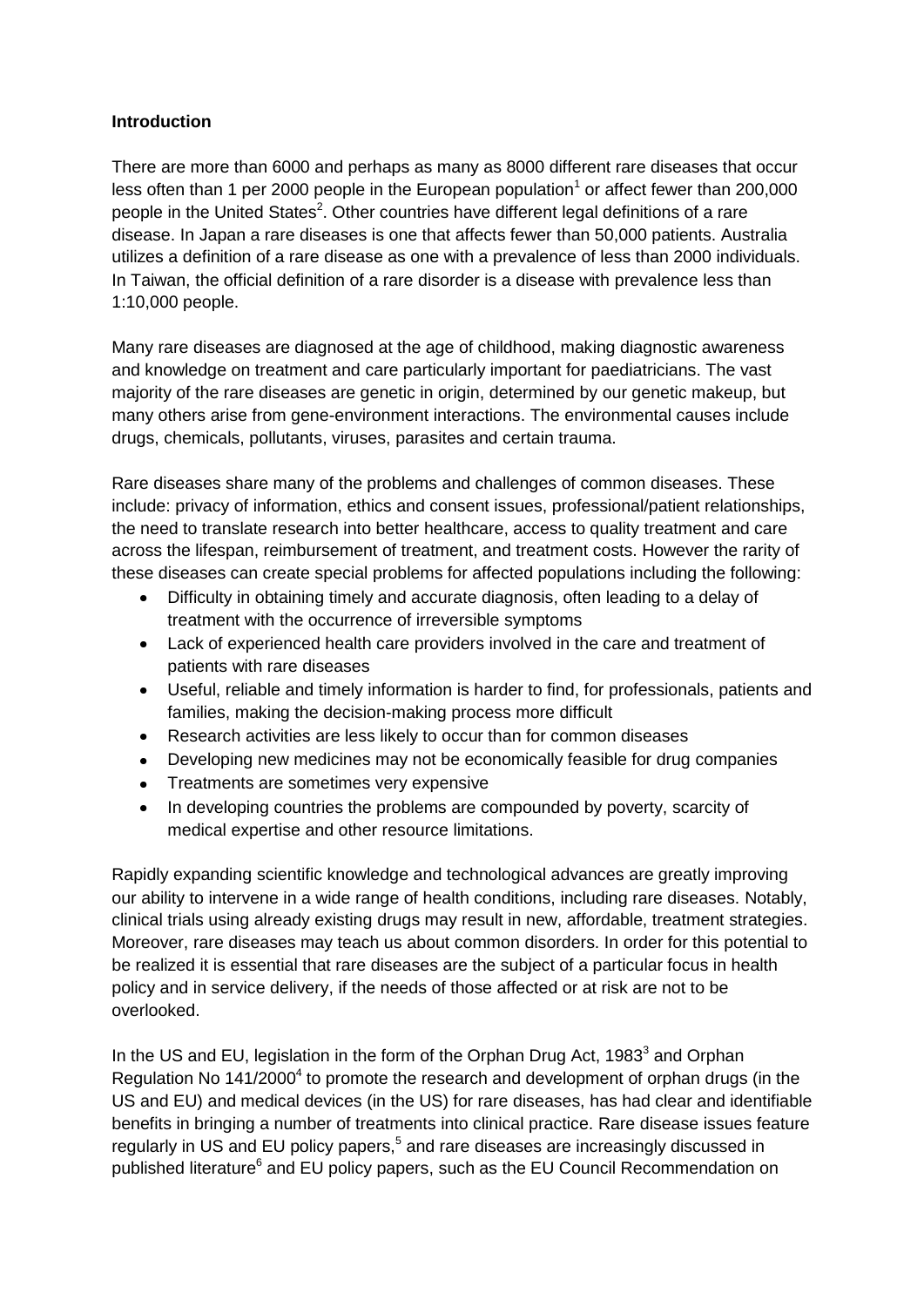### **Introduction**

There are more than 6000 and perhaps as many as 8000 different rare diseases that occur less often than 1 per 2000 people in the European population<sup>1</sup> or affect fewer than 200,000 people in the United States<sup>2</sup>. Other countries have different legal definitions of a rare disease. In Japan a rare diseases is one that affects fewer than 50,000 patients. Australia utilizes a definition of a rare disease as one with a prevalence of less than 2000 individuals. In Taiwan, the official definition of a rare disorder is a disease with prevalence less than 1:10,000 people.

Many rare diseases are diagnosed at the age of childhood, making diagnostic awareness and knowledge on treatment and care particularly important for paediatricians. The vast majority of the rare diseases are genetic in origin, determined by our genetic makeup, but many others arise from gene-environment interactions. The environmental causes include drugs, chemicals, pollutants, viruses, parasites and certain trauma.

Rare diseases share many of the problems and challenges of common diseases. These include: privacy of information, ethics and consent issues, professional/patient relationships, the need to translate research into better healthcare, access to quality treatment and care across the lifespan, reimbursement of treatment, and treatment costs. However the rarity of these diseases can create special problems for affected populations including the following:

- Difficulty in obtaining timely and accurate diagnosis, often leading to a delay of  $\bullet$ treatment with the occurrence of irreversible symptoms
- Lack of experienced health care providers involved in the care and treatment of patients with rare diseases
- Useful, reliable and timely information is harder to find, for professionals, patients and families, making the decision-making process more difficult
- Research activities are less likely to occur than for common diseases  $\bullet$
- Developing new medicines may not be economically feasible for drug companies  $\bullet$
- Treatments are sometimes very expensive
- In developing countries the problems are compounded by poverty, scarcity of  $\bullet$ medical expertise and other resource limitations.

Rapidly expanding scientific knowledge and technological advances are greatly improving our ability to intervene in a wide range of health conditions, including rare diseases. Notably, clinical trials using already existing drugs may result in new, affordable, treatment strategies. Moreover, rare diseases may teach us about common disorders. In order for this potential to be realized it is essential that rare diseases are the subject of a particular focus in health policy and in service delivery, if the needs of those affected or at risk are not to be overlooked.

In the US and EU, legislation in the form of the Orphan Drug Act, 1983<sup>3</sup> and Orphan Regulation No 141/2000<sup>4</sup> to promote the research and development of orphan drugs (in the US and EU) and medical devices (in the US) for rare diseases, has had clear and identifiable benefits in bringing a number of treatments into clinical practice. Rare disease issues feature regularly in US and EU policy papers,<sup>5</sup> and rare diseases are increasingly discussed in published literature<sup>6</sup> and EU policy papers, such as the EU Council Recommendation on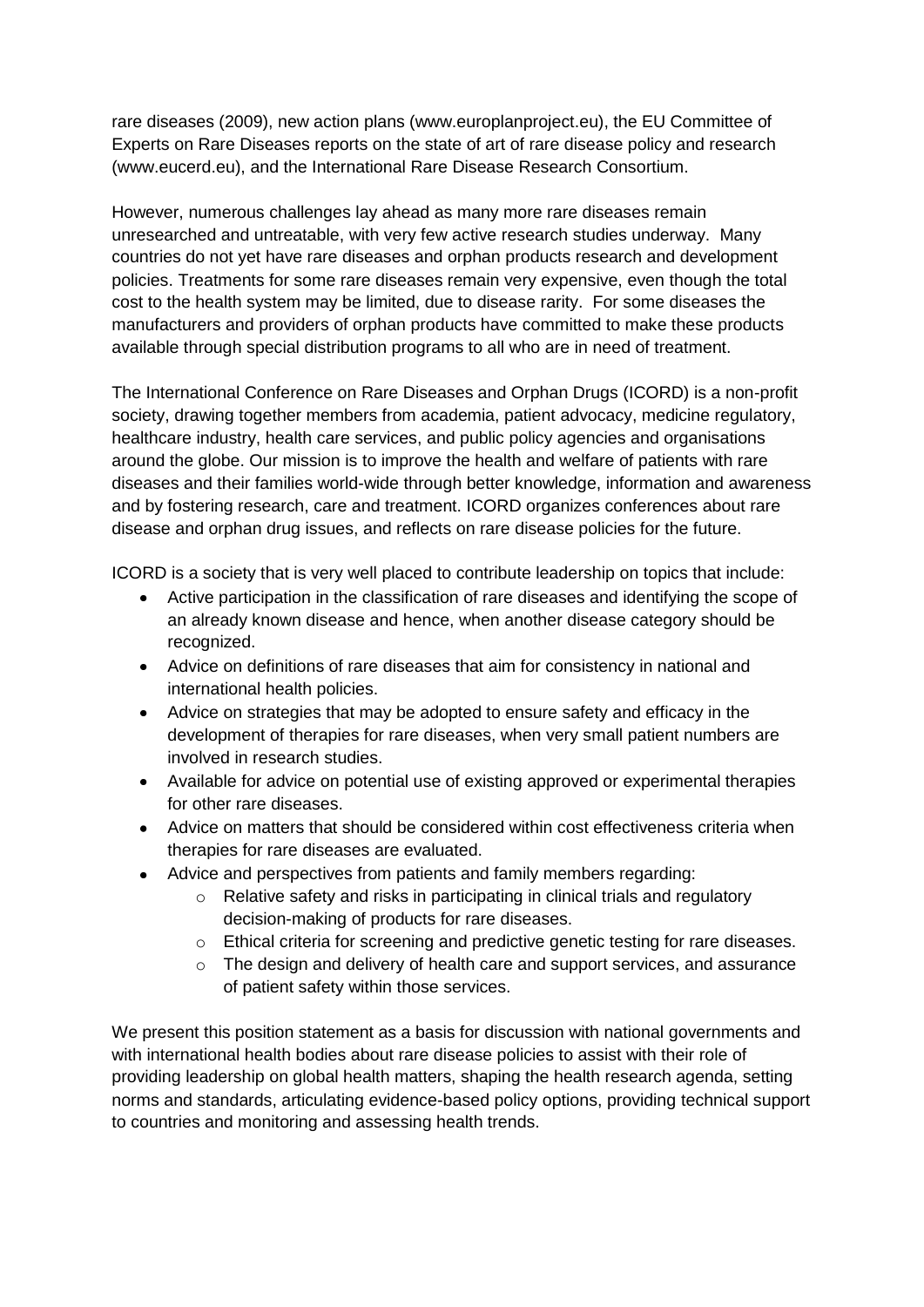rare diseases (2009), new action plans (www.europlanproject.eu), the EU Committee of Experts on Rare Diseases reports on the state of art of rare disease policy and research (www.eucerd.eu), and the International Rare Disease Research Consortium.

However, numerous challenges lay ahead as many more rare diseases remain unresearched and untreatable, with very few active research studies underway. Many countries do not yet have rare diseases and orphan products research and development policies. Treatments for some rare diseases remain very expensive, even though the total cost to the health system may be limited, due to disease rarity. For some diseases the manufacturers and providers of orphan products have committed to make these products available through special distribution programs to all who are in need of treatment.

The International Conference on Rare Diseases and Orphan Drugs (ICORD) is a non-profit society, drawing together members from academia, patient advocacy, medicine regulatory, healthcare industry, health care services, and public policy agencies and organisations around the globe. Our mission is to improve the health and welfare of patients with rare diseases and their families world-wide through better knowledge, information and awareness and by fostering research, care and treatment. ICORD organizes conferences about rare disease and orphan drug issues, and reflects on rare disease policies for the future.

ICORD is a society that is very well placed to contribute leadership on topics that include:

- Active participation in the classification of rare diseases and identifying the scope of  $\bullet$ an already known disease and hence, when another disease category should be recognized.
- Advice on definitions of rare diseases that aim for consistency in national and international health policies.
- Advice on strategies that may be adopted to ensure safety and efficacy in the development of therapies for rare diseases, when very small patient numbers are involved in research studies.
- Available for advice on potential use of existing approved or experimental therapies for other rare diseases.
- Advice on matters that should be considered within cost effectiveness criteria when therapies for rare diseases are evaluated.
- Advice and perspectives from patients and family members regarding:
	- o Relative safety and risks in participating in clinical trials and regulatory decision-making of products for rare diseases.
	- o Ethical criteria for screening and predictive genetic testing for rare diseases.
	- $\circ$  The design and delivery of health care and support services, and assurance of patient safety within those services.

We present this position statement as a basis for discussion with national governments and with international health bodies about rare disease policies to assist with their role of providing leadership on global health matters, shaping the health research agenda, setting norms and standards, articulating evidence-based policy options, providing technical support to countries and monitoring and assessing health trends.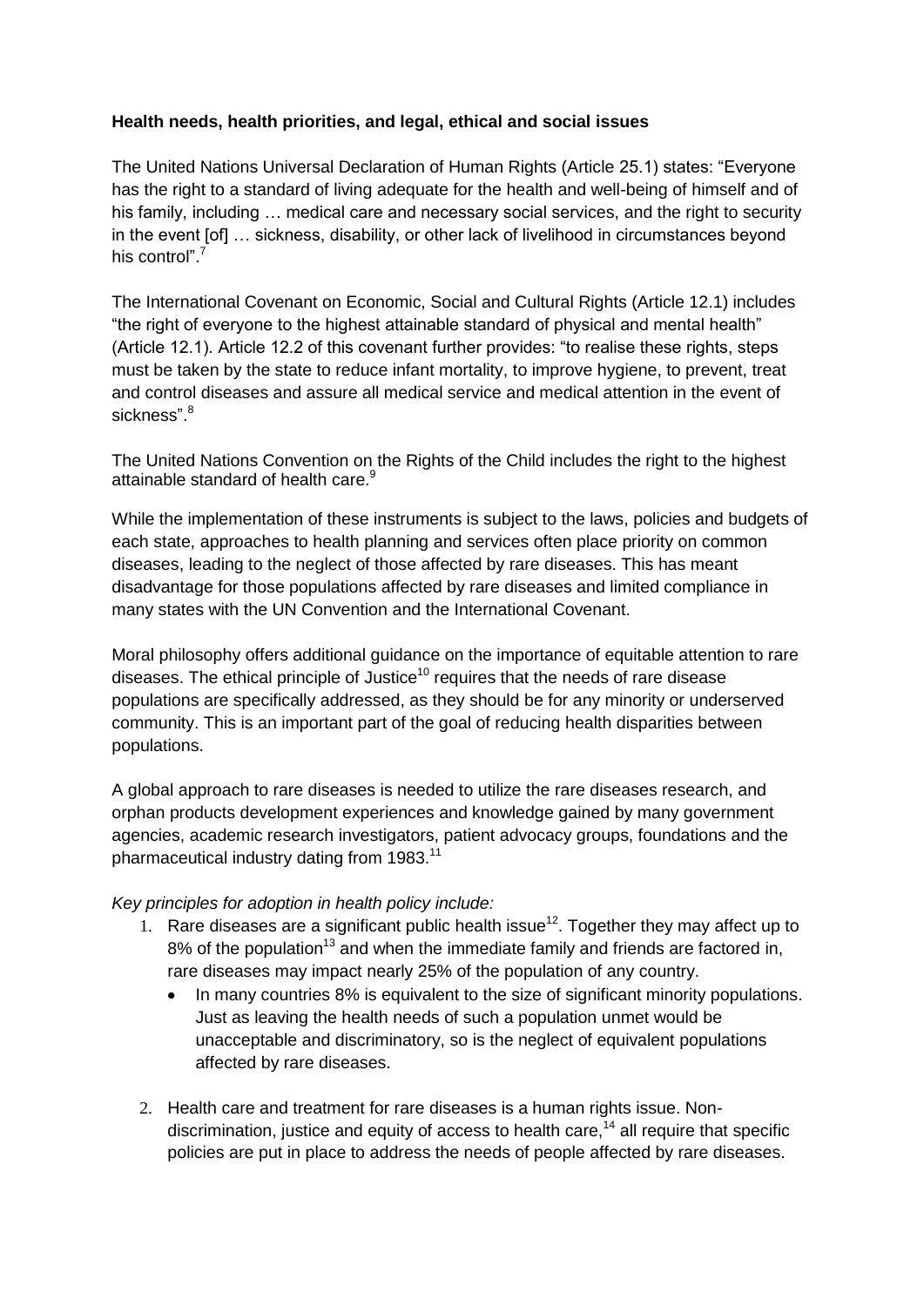## **Health needs, health priorities, and legal, ethical and social issues**

The United Nations Universal Declaration of Human Rights (Article 25.1) states: "Everyone has the right to a standard of living adequate for the health and well-being of himself and of his family, including ... medical care and necessary social services, and the right to security in the event [of] … sickness, disability, or other lack of livelihood in circumstances beyond his control"<sup>7</sup>

The International Covenant on Economic, Social and Cultural Rights (Article 12.1) includes "the right of everyone to the highest attainable standard of physical and mental health" (Article 12.1). Article 12.2 of this covenant further provides: "to realise these rights, steps must be taken by the state to reduce infant mortality, to improve hygiene, to prevent, treat and control diseases and assure all medical service and medical attention in the event of sickness".<sup>8</sup>

The United Nations Convention on the Rights of the Child includes the right to the highest attainable standard of health care.<sup>9</sup>

While the implementation of these instruments is subject to the laws, policies and budgets of each state, approaches to health planning and services often place priority on common diseases, leading to the neglect of those affected by rare diseases. This has meant disadvantage for those populations affected by rare diseases and limited compliance in many states with the UN Convention and the International Covenant.

Moral philosophy offers additional guidance on the importance of equitable attention to rare diseases. The ethical principle of Justice<sup>10</sup> requires that the needs of rare disease populations are specifically addressed, as they should be for any minority or underserved community. This is an important part of the goal of reducing health disparities between populations.

A global approach to rare diseases is needed to utilize the rare diseases research, and orphan products development experiences and knowledge gained by many government agencies, academic research investigators, patient advocacy groups, foundations and the pharmaceutical industry dating from 1983.<sup>11</sup>

#### *Key principles for adoption in health policy include:*

- 1. Rare diseases are a significant public health issue<sup>12</sup>. Together they may affect up to  $8\%$  of the population<sup>13</sup> and when the immediate family and friends are factored in, rare diseases may impact nearly 25% of the population of any country.
	- In many countries 8% is equivalent to the size of significant minority populations. Just as leaving the health needs of such a population unmet would be unacceptable and discriminatory, so is the neglect of equivalent populations affected by rare diseases.
- 2. Health care and treatment for rare diseases is a human rights issue. Nondiscrimination, justice and equity of access to health care,  $14$  all require that specific policies are put in place to address the needs of people affected by rare diseases.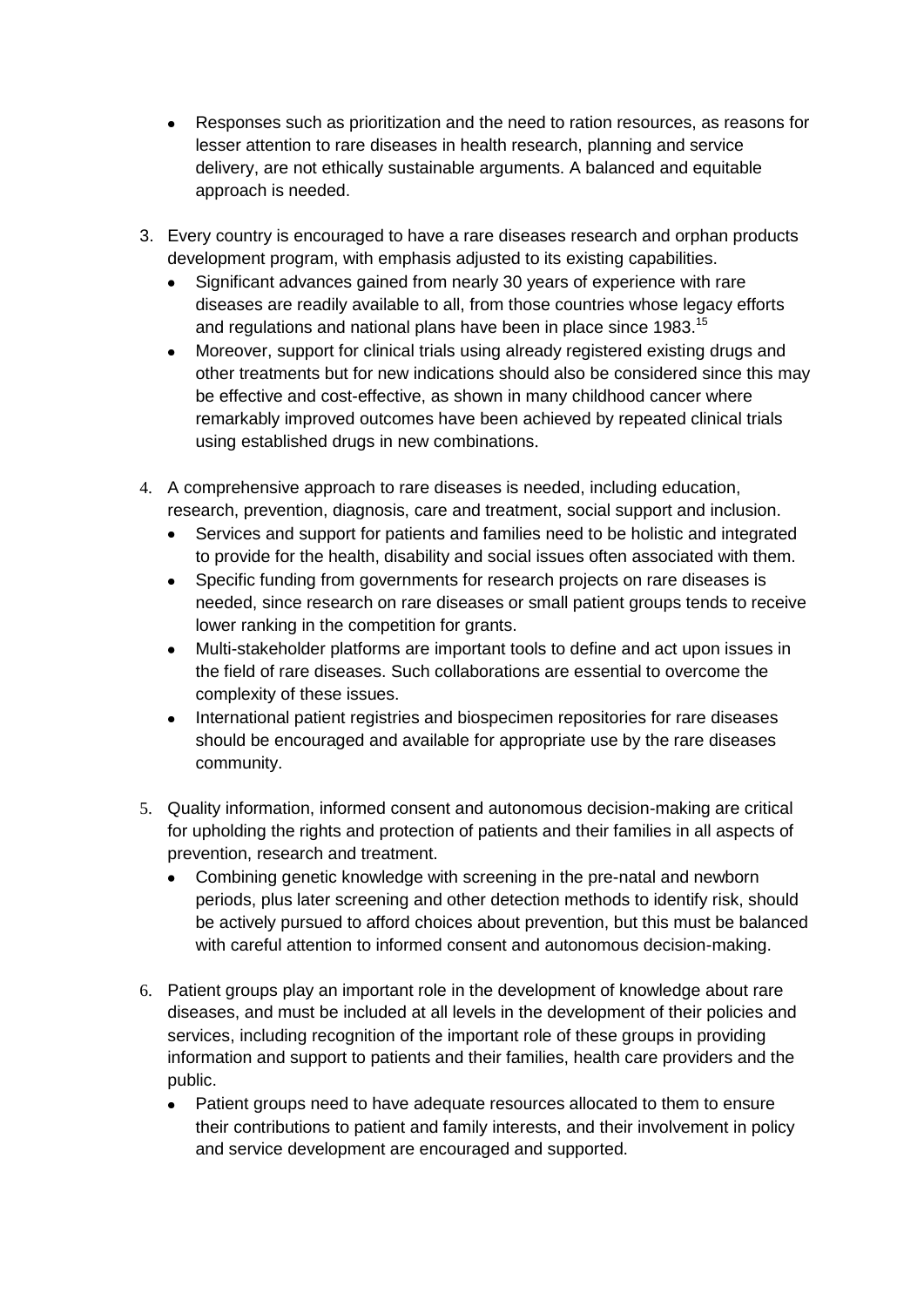- Responses such as prioritization and the need to ration resources, as reasons for  $\bullet$ lesser attention to rare diseases in health research, planning and service delivery, are not ethically sustainable arguments. A balanced and equitable approach is needed.
- 3. Every country is encouraged to have a rare diseases research and orphan products development program, with emphasis adjusted to its existing capabilities.
	- Significant advances gained from nearly 30 years of experience with rare  $\bullet$ diseases are readily available to all, from those countries whose legacy efforts and regulations and national plans have been in place since 1983.<sup>15</sup>
	- Moreover, support for clinical trials using already registered existing drugs and  $\bullet$ other treatments but for new indications should also be considered since this may be effective and cost-effective, as shown in many childhood cancer where remarkably improved outcomes have been achieved by repeated clinical trials using established drugs in new combinations.
- 4. A comprehensive approach to rare diseases is needed, including education, research, prevention, diagnosis, care and treatment, social support and inclusion.
	- $\bullet$ Services and support for patients and families need to be holistic and integrated to provide for the health, disability and social issues often associated with them.
	- $\bullet$ Specific funding from governments for research projects on rare diseases is needed, since research on rare diseases or small patient groups tends to receive lower ranking in the competition for grants.
	- Multi-stakeholder platforms are important tools to define and act upon issues in  $\bullet$ the field of rare diseases. Such collaborations are essential to overcome the complexity of these issues.
	- International patient registries and biospecimen repositories for rare diseases  $\bullet$ should be encouraged and available for appropriate use by the rare diseases community.
- 5. Quality information, informed consent and autonomous decision-making are critical for upholding the rights and protection of patients and their families in all aspects of prevention, research and treatment.
	- Combining genetic knowledge with screening in the pre-natal and newborn  $\bullet$ periods, plus later screening and other detection methods to identify risk, should be actively pursued to afford choices about prevention, but this must be balanced with careful attention to informed consent and autonomous decision-making.
- 6. Patient groups play an important role in the development of knowledge about rare diseases, and must be included at all levels in the development of their policies and services, including recognition of the important role of these groups in providing information and support to patients and their families, health care providers and the public.
	- Patient groups need to have adequate resources allocated to them to ensure  $\bullet$ their contributions to patient and family interests, and their involvement in policy and service development are encouraged and supported.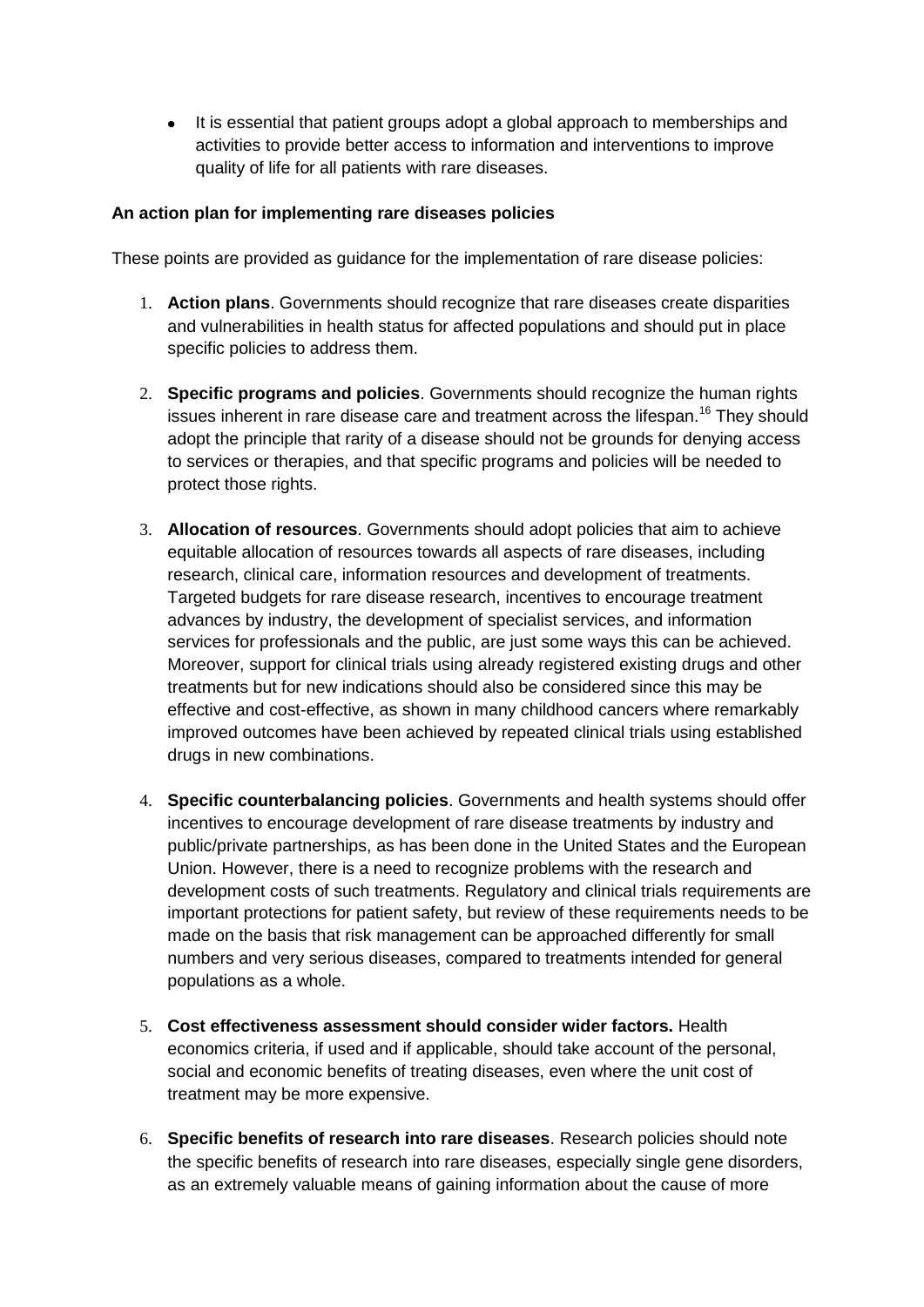$\bullet$ It is essential that patient groups adopt a global approach to memberships and activities to provide better access to information and interventions to improve quality of life for all patients with rare diseases.

#### **An action plan for implementing rare diseases policies**

These points are provided as guidance for the implementation of rare disease policies:

- 1. **Action plans**. Governments should recognize that rare diseases create disparities and vulnerabilities in health status for affected populations and should put in place specific policies to address them.
- 2. **Specific programs and policies**. Governments should recognize the human rights issues inherent in rare disease care and treatment across the lifespan.<sup>16</sup> They should adopt the principle that rarity of a disease should not be grounds for denying access to services or therapies, and that specific programs and policies will be needed to protect those rights.
- 3. **Allocation of resources**. Governments should adopt policies that aim to achieve equitable allocation of resources towards all aspects of rare diseases, including research, clinical care, information resources and development of treatments. Targeted budgets for rare disease research, incentives to encourage treatment advances by industry, the development of specialist services, and information services for professionals and the public, are just some ways this can be achieved. Moreover, support for clinical trials using already registered existing drugs and other treatments but for new indications should also be considered since this may be effective and cost-effective, as shown in many childhood cancers where remarkably improved outcomes have been achieved by repeated clinical trials using established drugs in new combinations.
- 4. **Specific counterbalancing policies**. Governments and health systems should offer incentives to encourage development of rare disease treatments by industry and public/private partnerships, as has been done in the United States and the European Union. However, there is a need to recognize problems with the research and development costs of such treatments. Regulatory and clinical trials requirements are important protections for patient safety, but review of these requirements needs to be made on the basis that risk management can be approached differently for small numbers and very serious diseases, compared to treatments intended for general populations as a whole.
- 5. **Cost effectiveness assessment should consider wider factors.** Health economics criteria, if used and if applicable, should take account of the personal, social and economic benefits of treating diseases, even where the unit cost of treatment may be more expensive.
- 6. **Specific benefits of research into rare diseases**. Research policies should note the specific benefits of research into rare diseases, especially single gene disorders, as an extremely valuable means of gaining information about the cause of more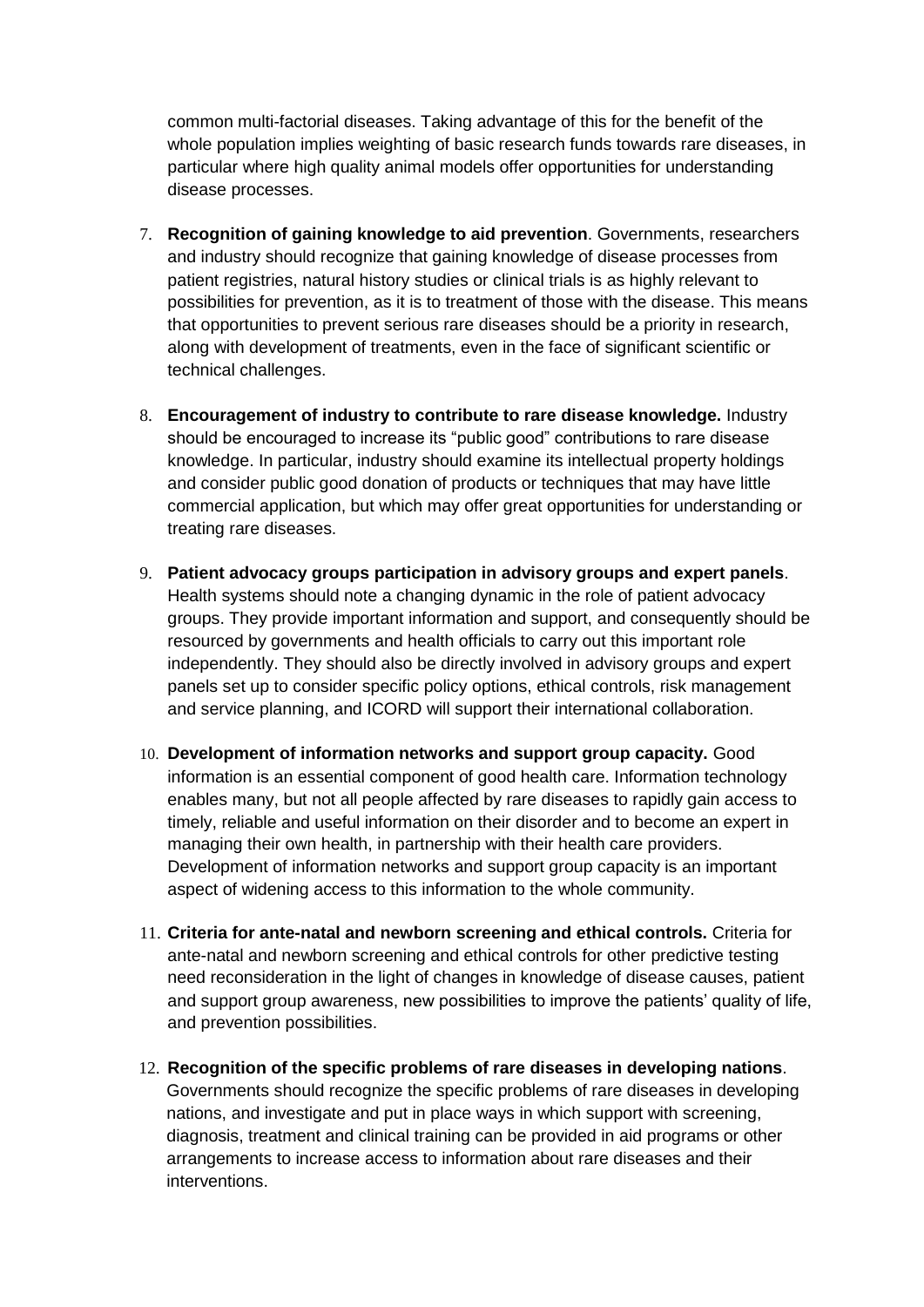common multi-factorial diseases. Taking advantage of this for the benefit of the whole population implies weighting of basic research funds towards rare diseases, in particular where high quality animal models offer opportunities for understanding disease processes.

- 7. **Recognition of gaining knowledge to aid prevention**. Governments, researchers and industry should recognize that gaining knowledge of disease processes from patient registries, natural history studies or clinical trials is as highly relevant to possibilities for prevention, as it is to treatment of those with the disease. This means that opportunities to prevent serious rare diseases should be a priority in research, along with development of treatments, even in the face of significant scientific or technical challenges.
- 8. **Encouragement of industry to contribute to rare disease knowledge.** Industry should be encouraged to increase its "public good" contributions to rare disease knowledge. In particular, industry should examine its intellectual property holdings and consider public good donation of products or techniques that may have little commercial application, but which may offer great opportunities for understanding or treating rare diseases.
- 9. **Patient advocacy groups participation in advisory groups and expert panels**. Health systems should note a changing dynamic in the role of patient advocacy groups. They provide important information and support, and consequently should be resourced by governments and health officials to carry out this important role independently. They should also be directly involved in advisory groups and expert panels set up to consider specific policy options, ethical controls, risk management and service planning, and ICORD will support their international collaboration.
- 10. **Development of information networks and support group capacity.** Good information is an essential component of good health care. Information technology enables many, but not all people affected by rare diseases to rapidly gain access to timely, reliable and useful information on their disorder and to become an expert in managing their own health, in partnership with their health care providers. Development of information networks and support group capacity is an important aspect of widening access to this information to the whole community.
- 11. **Criteria for ante-natal and newborn screening and ethical controls.** Criteria for ante-natal and newborn screening and ethical controls for other predictive testing need reconsideration in the light of changes in knowledge of disease causes, patient and support group awareness, new possibilities to improve the patients' quality of life, and prevention possibilities.
- 12. **Recognition of the specific problems of rare diseases in developing nations**. Governments should recognize the specific problems of rare diseases in developing nations, and investigate and put in place ways in which support with screening, diagnosis, treatment and clinical training can be provided in aid programs or other arrangements to increase access to information about rare diseases and their interventions.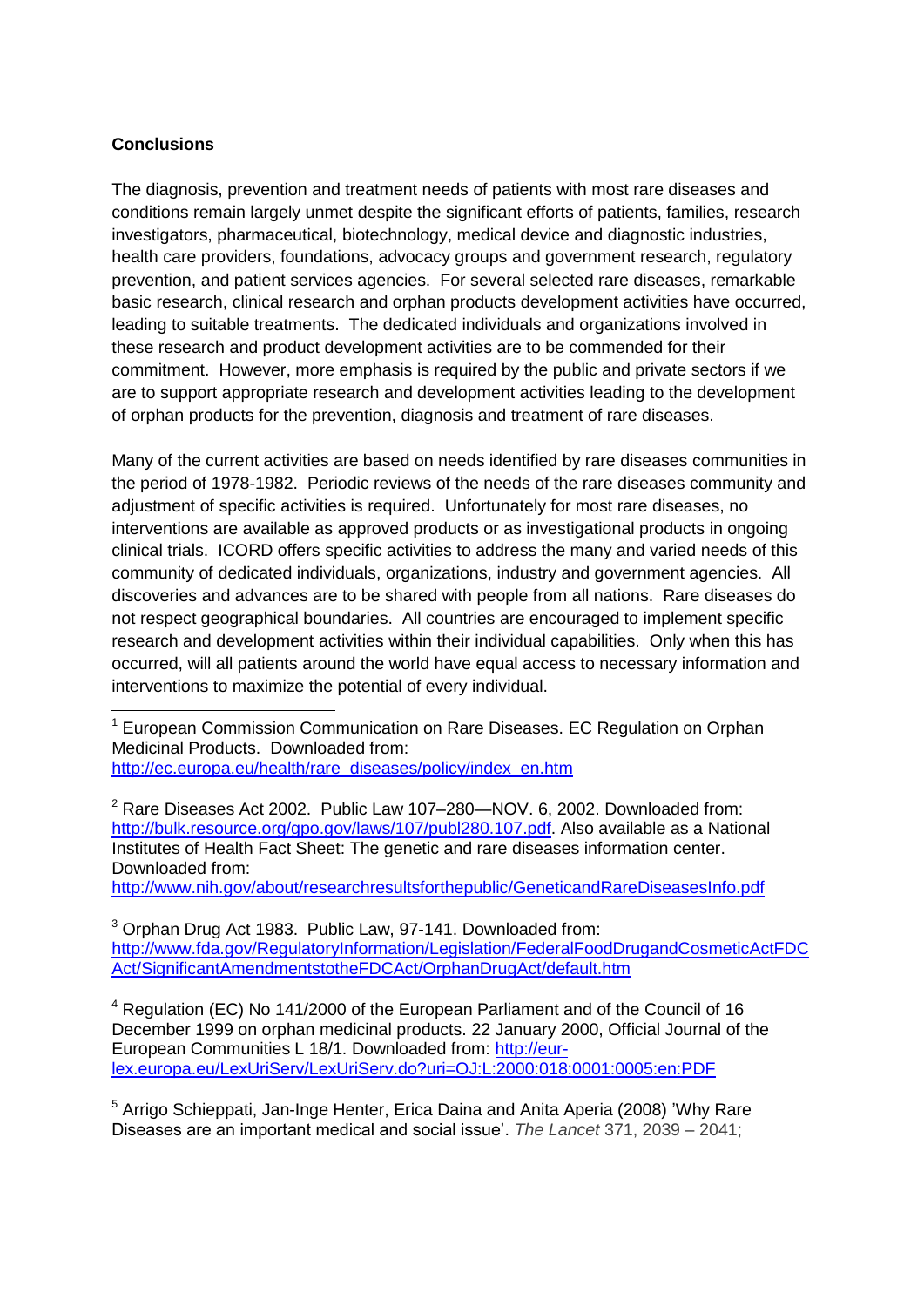### **Conclusions**

1

The diagnosis, prevention and treatment needs of patients with most rare diseases and conditions remain largely unmet despite the significant efforts of patients, families, research investigators, pharmaceutical, biotechnology, medical device and diagnostic industries, health care providers, foundations, advocacy groups and government research, regulatory prevention, and patient services agencies. For several selected rare diseases, remarkable basic research, clinical research and orphan products development activities have occurred, leading to suitable treatments. The dedicated individuals and organizations involved in these research and product development activities are to be commended for their commitment. However, more emphasis is required by the public and private sectors if we are to support appropriate research and development activities leading to the development of orphan products for the prevention, diagnosis and treatment of rare diseases.

Many of the current activities are based on needs identified by rare diseases communities in the period of 1978-1982. Periodic reviews of the needs of the rare diseases community and adjustment of specific activities is required. Unfortunately for most rare diseases, no interventions are available as approved products or as investigational products in ongoing clinical trials. ICORD offers specific activities to address the many and varied needs of this community of dedicated individuals, organizations, industry and government agencies. All discoveries and advances are to be shared with people from all nations. Rare diseases do not respect geographical boundaries. All countries are encouraged to implement specific research and development activities within their individual capabilities. Only when this has occurred, will all patients around the world have equal access to necessary information and interventions to maximize the potential of every individual.

http://www.nih.gov/about/researchresultsforthepublic/GeneticandRareDiseasesInfo.pdf

<sup>3</sup> Orphan Drug Act 1983. Public Law, 97-141. Downloaded from: [http://www.fda.gov/RegulatoryInformation/Legislation/FederalFoodDrugandCosmeticActFDC](http://www.fda.gov/RegulatoryInformation/Legislation/FederalFoodDrugandCosmeticActFDCAct/SignificantAmendmentstotheFDCAct/OrphanDrugAct/default.htm) [Act/SignificantAmendmentstotheFDCAct/OrphanDrugAct/default.htm](http://www.fda.gov/RegulatoryInformation/Legislation/FederalFoodDrugandCosmeticActFDCAct/SignificantAmendmentstotheFDCAct/OrphanDrugAct/default.htm)

<sup>4</sup> Regulation (EC) No 141/2000 of the European Parliament and of the Council of 16 December 1999 on orphan medicinal products. 22 January 2000, Official Journal of the European Communities L 18/1. Downloaded from: [http://eur](http://eur-lex.europa.eu/LexUriServ/LexUriServ.do?uri=OJ:L:2000:018:0001:0005:en:PDF)[lex.europa.eu/LexUriServ/LexUriServ.do?uri=OJ:L:2000:018:0001:0005:en:PDF](http://eur-lex.europa.eu/LexUriServ/LexUriServ.do?uri=OJ:L:2000:018:0001:0005:en:PDF)

<sup>5</sup> Arrigo Schieppati, Jan-Inge Henter, Erica Daina and Anita Aperia (2008) 'Why Rare Diseases are an important medical and social issue'. *The Lancet* 371, 2039 – 2041;

<sup>1</sup> European Commission Communication on Rare Diseases. EC Regulation on Orphan Medicinal Products. Downloaded from: http://ec.europa.eu/health/rare\_diseases/policy/index\_en.htm

<sup>&</sup>lt;sup>2</sup> Rare Diseases Act 2002. Public Law 107–280—NOV. 6, 2002. Downloaded from: [http://bulk.resource.org/gpo.gov/laws/107/publ280.107.pdf.](http://bulk.resource.org/gpo.gov/laws/107/publ280.107.pdf) Also available as a National Institutes of Health Fact Sheet: The genetic and rare diseases information center. Downloaded from: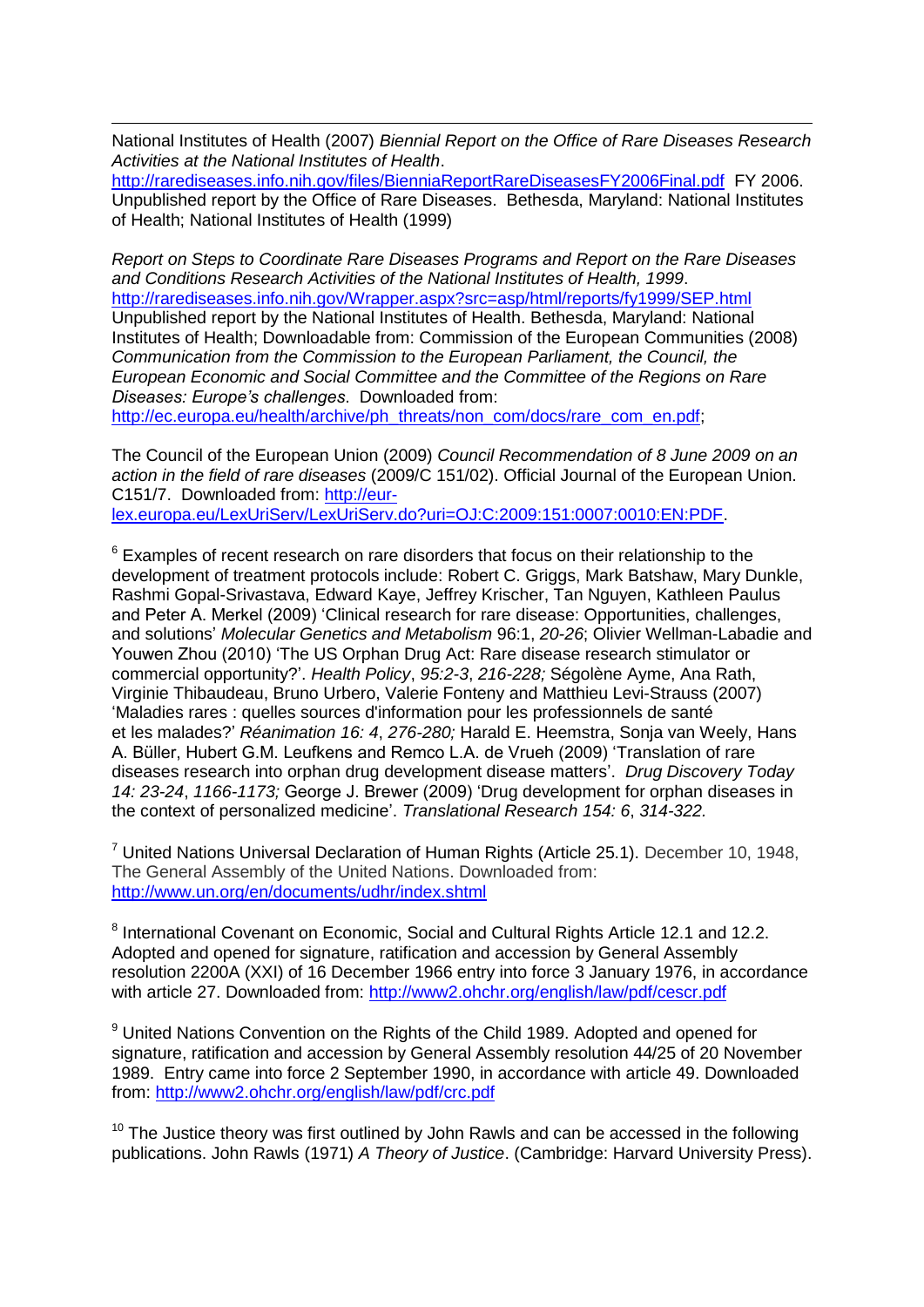1 National Institutes of Health (2007) *Biennial Report on the Office of Rare Diseases Research Activities at the National Institutes of Health*.

<http://rarediseases.info.nih.gov/files/BienniaReportRareDiseasesFY2006Final.pdf>FY 2006. Unpublished report by the Office of Rare Diseases. Bethesda, Maryland: National Institutes of Health; National Institutes of Health (1999)

*Report on Steps to Coordinate Rare Diseases Programs and Report on the Rare Diseases and Conditions Research Activities of the National Institutes of Health, 1999*. <http://rarediseases.info.nih.gov/Wrapper.aspx?src=asp/html/reports/fy1999/SEP.html> Unpublished report by the National Institutes of Health. Bethesda, Maryland: National Institutes of Health; Downloadable from: Commission of the European Communities (2008) *Communication from the Commission to the European Parliament, the Council, the European Economic and Social Committee and the Committee of the Regions on Rare Diseases: Europe's challenges*. Downloaded from: [http://ec.europa.eu/health/archive/ph\\_threats/non\\_com/docs/rare\\_com\\_en.pdf;](http://ec.europa.eu/health/archive/ph_threats/non_com/docs/rare_com_en.pdf)

The Council of the European Union (2009) *Council Recommendation of 8 June 2009 on an* 

*action in the field of rare diseases* (2009/C 151/02). Official Journal of the European Union. C151/7. Downloaded from: [http://eur](http://eur-lex.europa.eu/LexUriServ/LexUriServ.do?uri=OJ:C:2009:151:0007:0010:EN:PDF)[lex.europa.eu/LexUriServ/LexUriServ.do?uri=OJ:C:2009:151:0007:0010:EN:PDF.](http://eur-lex.europa.eu/LexUriServ/LexUriServ.do?uri=OJ:C:2009:151:0007:0010:EN:PDF)

 $6$  Examples of recent research on rare disorders that focus on their relationship to the development of treatment protocols include: Robert C. Griggs, Mark Batshaw, Mary Dunkle, Rashmi Gopal-Srivastava, Edward Kaye, Jeffrey Krischer, Tan Nguyen, Kathleen Paulus and Peter A. Merkel (2009) ['Clinical research for rare disease: Opportunities, challenges,](http://www.sciencedirect.com/science?_ob=ArticleURL&_udi=B6WNG-4TX6W9N-2&_user=10&_coverDate=01%2F31%2F2009&_alid=1525028940&_rdoc=1&_fmt=high&_orig=search&_origin=search&_zone=rslt_list_item&_cdi=6962&_sort=r&_st=13&_docanchor=&view=c&_ct=365576&_acct=C000050221&_version=1&_urlVersion=0&_userid=10&md5=405d71f123883b4e920b7cfab0f5bf38&searchtype=a)  [and solutions'](http://www.sciencedirect.com/science?_ob=ArticleURL&_udi=B6WNG-4TX6W9N-2&_user=10&_coverDate=01%2F31%2F2009&_alid=1525028940&_rdoc=1&_fmt=high&_orig=search&_origin=search&_zone=rslt_list_item&_cdi=6962&_sort=r&_st=13&_docanchor=&view=c&_ct=365576&_acct=C000050221&_version=1&_urlVersion=0&_userid=10&md5=405d71f123883b4e920b7cfab0f5bf38&searchtype=a) *Molecular Genetics and Metabolism* 96:1, *20-26*; Olivier Wellman-Labadie and Youwen Zhou (2010) ['The US Orphan Drug Act: Rare disease research stimulator or](http://www.sciencedirect.com/science?_ob=ArticleURL&_udi=B6V8X-4Y1W8H4-1&_user=10&_coverDate=05%2F31%2F2010&_alid=1525028940&_rdoc=16&_fmt=high&_orig=search&_origin=search&_zone=rslt_list_item&_cdi=5882&_sort=r&_st=13&_docanchor=&view=c&_ct=365576&_acct=C000050221&_version=1&_urlVersion=0&_userid=10&md5=8eb34ee0412c556fa56f3860197c4cd2&searchtype=a)  [commercial opportunity?'](http://www.sciencedirect.com/science?_ob=ArticleURL&_udi=B6V8X-4Y1W8H4-1&_user=10&_coverDate=05%2F31%2F2010&_alid=1525028940&_rdoc=16&_fmt=high&_orig=search&_origin=search&_zone=rslt_list_item&_cdi=5882&_sort=r&_st=13&_docanchor=&view=c&_ct=365576&_acct=C000050221&_version=1&_urlVersion=0&_userid=10&md5=8eb34ee0412c556fa56f3860197c4cd2&searchtype=a). *Health Policy*, *95:2-3*, *216-228;* Ségolène Ayme, Ana Rath, Virginie Thibaudeau, Bruno Urbero, Valerie Fonteny and Matthieu Levi-Strauss (2007) 'Maladies rares : quelles [sources d'information pour](http://www.sciencedirect.com/science?_ob=ArticleURL&_udi=B75BJ-4NWMWXS-2&_user=10&_coverDate=08%2F31%2F2007&_alid=1525028940&_rdoc=20&_fmt=high&_orig=search&_origin=search&_zone=rslt_list_item&_cdi=12984&_sort=r&_st=13&_docanchor=&view=c&_ct=365576&_acct=C000050221&_version=1&_urlVersion=0&_userid=10&md5=b2b728b8afdb4ec479ebde59a9f7181b&searchtype=a) les professionnels de santé et les [malades?'](http://www.sciencedirect.com/science?_ob=ArticleURL&_udi=B75BJ-4NWMWXS-2&_user=10&_coverDate=08%2F31%2F2007&_alid=1525028940&_rdoc=20&_fmt=high&_orig=search&_origin=search&_zone=rslt_list_item&_cdi=12984&_sort=r&_st=13&_docanchor=&view=c&_ct=365576&_acct=C000050221&_version=1&_urlVersion=0&_userid=10&md5=b2b728b8afdb4ec479ebde59a9f7181b&searchtype=a) *Réanimation 16: 4*, *276-280;* Harald E. Heemstra, Sonja van Weely, Hans A. Büller, Hubert G.M. Leufkens and Remco L.A. de Vrueh (2009) ['Translation of rare](http://www.sciencedirect.com/science?_ob=ArticleURL&_udi=B6T64-4XDCHT2-1&_user=10&_coverDate=12%2F31%2F2009&_alid=1525028940&_rdoc=42&_fmt=high&_orig=search&_origin=search&_zone=rslt_list_item&_cdi=5020&_sort=r&_st=13&_docanchor=&view=c&_ct=365576&_acct=C000050221&_version=1&_urlVersion=0&_userid=10&md5=b86a1e18da653ea7a40e2c8c32653cdd&searchtype=a)  [diseases research into orphan drug development disease matters'](http://www.sciencedirect.com/science?_ob=ArticleURL&_udi=B6T64-4XDCHT2-1&_user=10&_coverDate=12%2F31%2F2009&_alid=1525028940&_rdoc=42&_fmt=high&_orig=search&_origin=search&_zone=rslt_list_item&_cdi=5020&_sort=r&_st=13&_docanchor=&view=c&_ct=365576&_acct=C000050221&_version=1&_urlVersion=0&_userid=10&md5=b86a1e18da653ea7a40e2c8c32653cdd&searchtype=a). *Drug Discovery Today 14: 23-24*, *1166-1173;* George J. Brewer (2009) ['Drug development for orphan diseases in](http://www.sciencedirect.com/science?_ob=ArticleURL&_udi=B83WW-4W4HYSF-1&_user=10&_coverDate=12%2F31%2F2009&_alid=1525048941&_rdoc=8&_fmt=high&_orig=search&_origin=search&_zone=rslt_list_item&_cdi=33797&_sort=r&_st=13&_docanchor=&view=c&_ct=211066&_acct=C000050221&_version=1&_urlVersion=0&_userid=10&md5=081f3fa9dc2e52f49ed9f097a8e72662&searchtype=a)  [the context of personalized medicine'](http://www.sciencedirect.com/science?_ob=ArticleURL&_udi=B83WW-4W4HYSF-1&_user=10&_coverDate=12%2F31%2F2009&_alid=1525048941&_rdoc=8&_fmt=high&_orig=search&_origin=search&_zone=rslt_list_item&_cdi=33797&_sort=r&_st=13&_docanchor=&view=c&_ct=211066&_acct=C000050221&_version=1&_urlVersion=0&_userid=10&md5=081f3fa9dc2e52f49ed9f097a8e72662&searchtype=a). *Translational Research 154: 6*, *314-322.*

 $7$  United Nations Universal Declaration of Human Rights (Article 25.1). December 10, 1948, The General Assembly of the United Nations. Downloaded from: <http://www.un.org/en/documents/udhr/index.shtml>

<sup>8</sup> International Covenant on Economic, Social and Cultural Rights Article 12.1 and 12.2. Adopted and opened for signature, ratification and accession by General Assembly resolution 2200A (XXI) of 16 December 1966 entry into force 3 January 1976, in accordance with article 27. Downloaded from:<http://www2.ohchr.org/english/law/pdf/cescr.pdf>

<sup>9</sup> United Nations Convention on the Rights of the Child 1989. Adopted and opened for signature, ratification and accession by General Assembly resolution 44/25 of 20 November 1989. Entry came into force 2 September 1990, in accordance with article 49. Downloaded from:<http://www2.ohchr.org/english/law/pdf/crc.pdf>

 $10$  The Justice theory was first outlined by John Rawls and can be accessed in the following publications. John Rawls (1971) *A Theory of Justice*. (Cambridge: Harvard University Press).